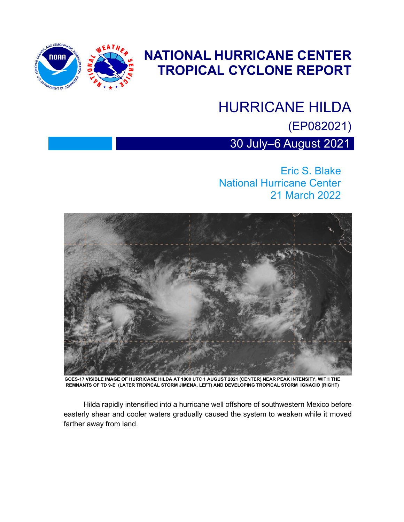

### **NATIONAL HURRICANE CENTER TROPICAL CYCLONE REPORT**

# HURRICANE HILDA

(EP082021)

30 July–6 August 2021

Eric S. Blake National Hurricane Center 21 March 2022



**GOES-17 VISIBLE IMAGE OF HURRICANE HILDA AT 1800 UTC 1 AUGUST 2021 (CENTER) NEAR PEAK INTENSITY, WITH THE REMNANTS OF TD 9-E (LATER TROPICAL STORM JIMENA, LEFT) AND DEVELOPING TROPICAL STORM IGNACIO (RIGHT)**

Hilda rapidly intensified into a hurricane well offshore of southwestern Mexico before easterly shear and cooler waters gradually caused the system to weaken while it moved farther away from land.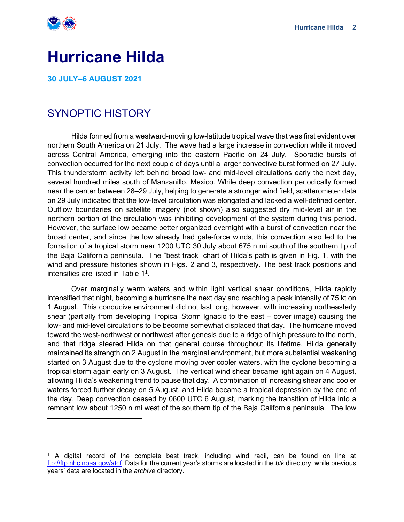

## **Hurricane Hilda**

**30 JULY–6 AUGUST 2021**

#### SYNOPTIC HISTORY

 Hilda formed from a westward-moving low-latitude tropical wave that was first evident over northern South America on 21 July. The wave had a large increase in convection while it moved across Central America, emerging into the eastern Pacific on 24 July. Sporadic bursts of convection occurred for the next couple of days until a larger convective burst formed on 27 July. This thunderstorm activity left behind broad low- and mid-level circulations early the next day, several hundred miles south of Manzanillo, Mexico. While deep convection periodically formed near the center between 28–29 July, helping to generate a stronger wind field, scatterometer data on 29 July indicated that the low-level circulation was elongated and lacked a well-defined center. Outflow boundaries on satellite imagery (not shown) also suggested dry mid-level air in the northern portion of the circulation was inhibiting development of the system during this period. However, the surface low became better organized overnight with a burst of convection near the broad center, and since the low already had gale-force winds, this convection also led to the formation of a tropical storm near 1200 UTC 30 July about 675 n mi south of the southern tip of the Baja California peninsula. The "best track" chart of Hilda's path is given in Fig. 1, with the wind and pressure histories shown in Figs. 2 and 3, respectively. The best track positions and intensities are listed in Table  $1^1$ .

Over marginally warm waters and within light vertical shear conditions, Hilda rapidly intensified that night, becoming a hurricane the next day and reaching a peak intensity of 75 kt on 1 August. This conducive environment did not last long, however, with increasing northeasterly shear (partially from developing Tropical Storm Ignacio to the east – cover image) causing the low- and mid-level circulations to be become somewhat displaced that day. The hurricane moved toward the west-northwest or northwest after genesis due to a ridge of high pressure to the north, and that ridge steered Hilda on that general course throughout its lifetime. Hilda generally maintained its strength on 2 August in the marginal environment, but more substantial weakening started on 3 August due to the cyclone moving over cooler waters, with the cyclone becoming a tropical storm again early on 3 August. The vertical wind shear became light again on 4 August, allowing Hilda's weakening trend to pause that day. A combination of increasing shear and cooler waters forced further decay on 5 August, and Hilda became a tropical depression by the end of the day. Deep convection ceased by 0600 UTC 6 August, marking the transition of Hilda into a remnant low about 1250 n mi west of the southern tip of the Baja California peninsula. The low

<sup>&</sup>lt;sup>1</sup> A digital record of the complete best track, including wind radii, can be found on line at [ftp://ftp.nhc.noaa.gov/atcf.](ftp://ftp.nhc.noaa.gov/atcf) Data for the current year's storms are located in the *btk* directory, while previous years' data are located in the *archive* directory.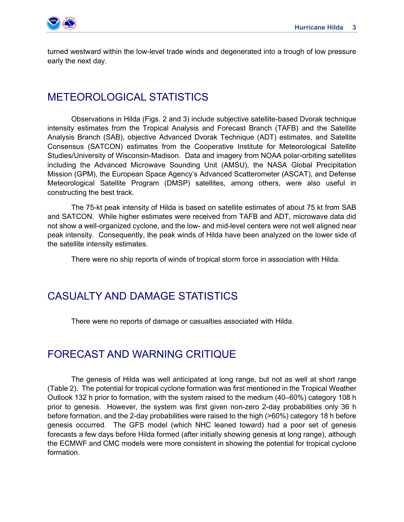

turned westward within the low-level trade winds and degenerated into a trough of low pressure early the next day.

#### METEOROLOGICAL STATISTICS

Observations in Hilda (Figs. 2 and 3) include subjective satellite-based Dvorak technique intensity estimates from the Tropical Analysis and Forecast Branch (TAFB) and the Satellite Analysis Branch (SAB), objective Advanced Dvorak Technique (ADT) estimates, and Satellite Consensus (SATCON) estimates from the Cooperative Institute for Meteorological Satellite Studies/University of Wisconsin-Madison. Data and imagery from NOAA polar-orbiting satellites including the Advanced Microwave Sounding Unit (AMSU), the NASA Global Precipitation Mission (GPM), the European Space Agency's Advanced Scatterometer (ASCAT), and Defense Meteorological Satellite Program (DMSP) satellites, among others, were also useful in constructing the best track.

The 75-kt peak intensity of Hilda is based on satellite estimates of about 75 kt from SAB and SATCON. While higher estimates were received from TAFB and ADT, microwave data did not show a well-organized cyclone, and the low- and mid-level centers were not well aligned near peak intensity. Consequently, the peak winds of Hilda have been analyzed on the lower side of the satellite intensity estimates.

There were no ship reports of winds of tropical storm force in association with Hilda.

#### CASUALTY AND DAMAGE STATISTICS

There were no reports of damage or casualties associated with Hilda.

#### FORECAST AND WARNING CRITIQUE

The genesis of Hilda was well anticipated at long range, but not as well at short range (Table 2). The potential for tropical cyclone formation was first mentioned in the Tropical Weather Outlook 132 h prior to formation, with the system raised to the medium (40–60%) category 108 h prior to genesis. However, the system was first given non-zero 2-day probabilities only 36 h before formation, and the 2-day probabilities were raised to the high (>60%) category 18 h before genesis occurred. The GFS model (which NHC leaned toward) had a poor set of genesis forecasts a few days before Hilda formed (after initially showing genesis at long range), although the ECMWF and CMC models were more consistent in showing the potential for tropical cyclone formation.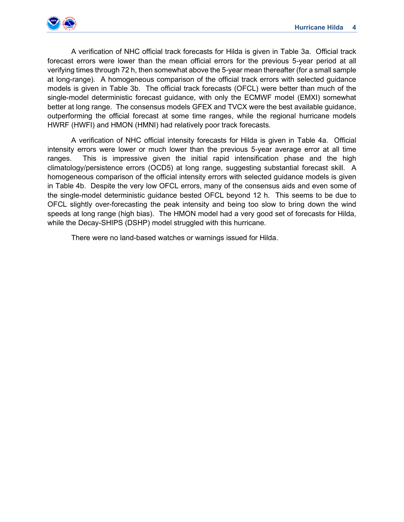

A verification of NHC official track forecasts for Hilda is given in Table 3a. Official track forecast errors were lower than the mean official errors for the previous 5-year period at all verifying times through 72 h, then somewhat above the 5-year mean thereafter (for a small sample at long-range). A homogeneous comparison of the official track errors with selected guidance models is given in Table 3b. The official track forecasts (OFCL) were better than much of the single-model deterministic forecast guidance, with only the ECMWF model (EMXI) somewhat better at long range. The consensus models GFEX and TVCX were the best available guidance, outperforming the official forecast at some time ranges, while the regional hurricane models HWRF (HWFI) and HMON (HMNI) had relatively poor track forecasts.

A verification of NHC official intensity forecasts for Hilda is given in Table 4a. Official intensity errors were lower or much lower than the previous 5-year average error at all time ranges. This is impressive given the initial rapid intensification phase and the high climatology/persistence errors (OCD5) at long range, suggesting substantial forecast skill. A homogeneous comparison of the official intensity errors with selected guidance models is given in Table 4b. Despite the very low OFCL errors, many of the consensus aids and even some of the single-model deterministic guidance bested OFCL beyond 12 h. This seems to be due to OFCL slightly over-forecasting the peak intensity and being too slow to bring down the wind speeds at long range (high bias). The HMON model had a very good set of forecasts for Hilda, while the Decay-SHIPS (DSHP) model struggled with this hurricane.

There were no land-based watches or warnings issued for Hilda.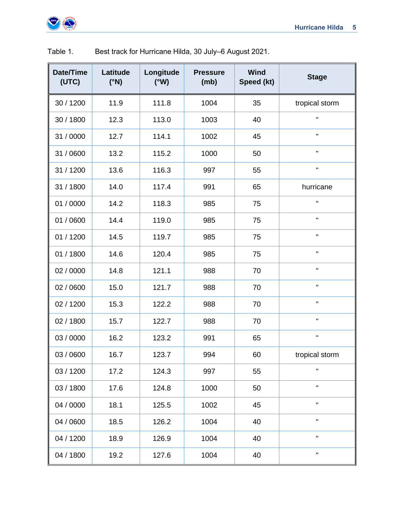

| Date/Time<br>(UTC) | Latitude<br>$(^{\circ}N)$ | Longitude<br>(°W) | <b>Pressure</b><br>(mb) | Wind<br>Speed (kt) | <b>Stage</b>   |
|--------------------|---------------------------|-------------------|-------------------------|--------------------|----------------|
| 30 / 1200          | 11.9                      | 111.8             | 1004                    | 35                 | tropical storm |
| 30 / 1800          | 12.3                      | 113.0             | 1003                    | 40                 | П              |
| 31 / 0000          | 12.7                      | 114.1             | 1002                    | 45                 | П              |
| 31 / 0600          | 13.2                      | 115.2             | 1000                    | 50                 | П              |
| 31 / 1200          | 13.6                      | 116.3             | 997                     | 55                 |                |
| 31 / 1800          | 14.0                      | 117.4             | 991                     | 65                 | hurricane      |
| 01 / 0000          | 14.2                      | 118.3             | 985                     | 75                 | П              |
| 01 / 0600          | 14.4                      | 119.0             | 985                     | 75                 | H              |
| 01 / 1200          | 14.5                      | 119.7             | 985                     | 75                 | н              |
| 01 / 1800          | 14.6                      | 120.4             | 985                     | 75                 | H              |
| 02 / 0000          | 14.8                      | 121.1             | 988                     | 70                 | П              |
| 02 / 0600          | 15.0                      | 121.7             | 988                     | 70                 | H              |
| 02 / 1200          | 15.3                      | 122.2             | 988                     | 70                 | П              |
| 02 / 1800          | 15.7                      | 122.7             | 988                     | 70                 | П              |
| 03 / 0000          | 16.2                      | 123.2             | 991                     | 65                 | $\mathbf{H}$   |
| 03 / 0600          | 16.7                      | 123.7             | 994                     | 60                 | tropical storm |
| 03 / 1200          | 17.2                      | 124.3             | 997                     | 55                 | $\mathbf{H}$   |
| 03 / 1800          | 17.6                      | 124.8             | 1000                    | 50                 | н              |
| 04 / 0000          | 18.1                      | 125.5             | 1002                    | 45                 | П.             |
| 04 / 0600          | 18.5                      | 126.2             | 1004                    | 40                 | $\mathbf{H}$   |
| 04 / 1200          | 18.9                      | 126.9             | 1004                    | 40                 | H              |
| 04 / 1800          | 19.2                      | 127.6             | 1004                    | 40                 | H              |

Table 1. Best track for Hurricane Hilda, 30 July–6 August 2021.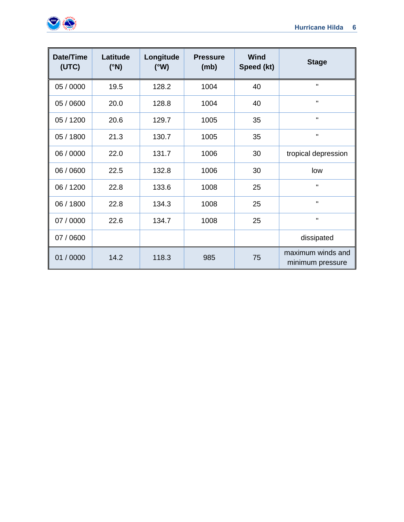

| Date/Time<br>(UTC) | Latitude<br>$(^{\circ}N)$ | Longitude<br>(°W) | <b>Pressure</b><br>(mb) | <b>Wind</b><br>Speed (kt) | <b>Stage</b>                          |
|--------------------|---------------------------|-------------------|-------------------------|---------------------------|---------------------------------------|
| 05 / 0000          | 19.5                      | 128.2             | 1004                    | 40                        | $\pmb{\mathsf{H}}$                    |
| 05 / 0600          | 20.0                      | 128.8             | 1004                    | 40                        | $\mathbf{H}$                          |
| 05 / 1200          | 20.6                      | 129.7             | 1005                    | 35                        | $\mathbf H$                           |
| 05 / 1800          | 21.3                      | 130.7             | 1005                    | 35                        | Π.                                    |
| 06 / 0000          | 22.0                      | 131.7             | 1006                    | 30                        | tropical depression                   |
| 06 / 0600          | 22.5                      | 132.8             | 1006                    | 30                        | low                                   |
| 06 / 1200          | 22.8                      | 133.6             | 1008                    | 25                        | $\mathbf H$                           |
| 06 / 1800          | 22.8                      | 134.3             | 1008                    | 25                        | $\pmb{\mathsf{H}}$                    |
| 07 / 0000          | 22.6                      | 134.7             | 1008                    | 25                        | $\pmb{\mathsf{H}}$                    |
| 07 / 0600          |                           |                   |                         |                           | dissipated                            |
| 01 / 0000          | 14.2                      | 118.3             | 985                     | 75                        | maximum winds and<br>minimum pressure |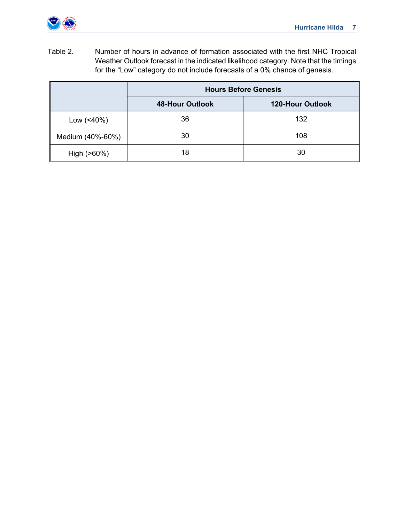

Table 2. Number of hours in advance of formation associated with the first NHC Tropical Weather Outlook forecast in the indicated likelihood category. Note that the timings for the "Low" category do not include forecasts of a 0% chance of genesis.

|                   | <b>Hours Before Genesis</b> |                         |  |  |  |
|-------------------|-----------------------------|-------------------------|--|--|--|
|                   | <b>48-Hour Outlook</b>      | <b>120-Hour Outlook</b> |  |  |  |
| Low $($ < 40% $)$ | 36                          | 132                     |  |  |  |
| Medium (40%-60%)  | 30                          | 108                     |  |  |  |
| High (>60%)       | 18                          | 30                      |  |  |  |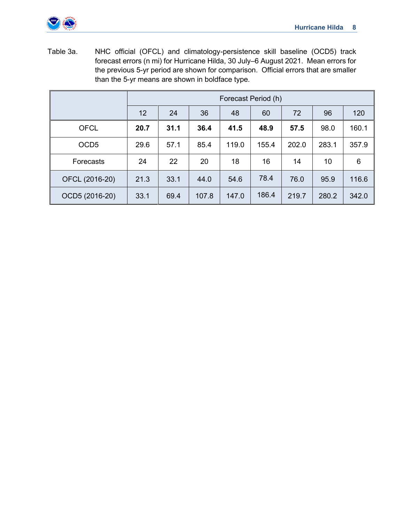

Table 3a. NHC official (OFCL) and climatology-persistence skill baseline (OCD5) track forecast errors (n mi) for Hurricane Hilda, 30 July–6 August 2021. Mean errors for the previous 5-yr period are shown for comparison. Official errors that are smaller than the 5-yr means are shown in boldface type.

|                  | Forecast Period (h) |      |       |       |       |       |       |       |  |
|------------------|---------------------|------|-------|-------|-------|-------|-------|-------|--|
|                  | 12                  | 24   | 36    | 48    | 60    | 72    | 96    | 120   |  |
| <b>OFCL</b>      | 20.7                | 31.1 | 36.4  | 41.5  | 48.9  | 57.5  | 98.0  | 160.1 |  |
| OCD <sub>5</sub> | 29.6                | 57.1 | 85.4  | 119.0 | 155.4 | 202.0 | 283.1 | 357.9 |  |
| Forecasts        | 24                  | 22   | 20    | 18    | 16    | 14    | 10    | 6     |  |
| OFCL (2016-20)   | 21.3                | 33.1 | 44.0  | 54.6  | 78.4  | 76.0  | 95.9  | 116.6 |  |
| OCD5 (2016-20)   | 33.1                | 69.4 | 107.8 | 147.0 | 186.4 | 219.7 | 280.2 | 342.0 |  |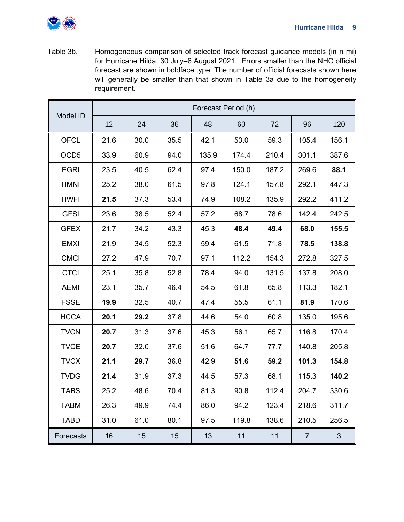

Table 3b. Homogeneous comparison of selected track forecast guidance models (in n mi) for Hurricane Hilda, 30 July–6 August 2021. Errors smaller than the NHC official forecast are shown in boldface type. The number of official forecasts shown here will generally be smaller than that shown in Table 3a due to the homogeneity requirement.

|                  |      | Forecast Period (h) |      |       |       |       |                |                |  |  |  |  |
|------------------|------|---------------------|------|-------|-------|-------|----------------|----------------|--|--|--|--|
| Model ID         | 12   | 24                  | 36   | 48    | 60    | 72    | 96             | 120            |  |  |  |  |
| <b>OFCL</b>      | 21.6 | 30.0                | 35.5 | 42.1  | 53.0  | 59.3  | 105.4          | 156.1          |  |  |  |  |
| OCD <sub>5</sub> | 33.9 | 60.9                | 94.0 | 135.9 | 174.4 | 210.4 | 301.1          | 387.6          |  |  |  |  |
| <b>EGRI</b>      | 23.5 | 40.5                | 62.4 | 97.4  | 150.0 | 187.2 | 269.6          | 88.1           |  |  |  |  |
| <b>HMNI</b>      | 25.2 | 38.0                | 61.5 | 97.8  | 124.1 | 157.8 | 292.1          | 447.3          |  |  |  |  |
| <b>HWFI</b>      | 21.5 | 37.3                | 53.4 | 74.9  | 108.2 | 135.9 | 292.2          | 411.2          |  |  |  |  |
| <b>GFSI</b>      | 23.6 | 38.5                | 52.4 | 57.2  | 68.7  | 78.6  | 142.4          | 242.5          |  |  |  |  |
| <b>GFEX</b>      | 21.7 | 34.2                | 43.3 | 45.3  | 48.4  | 49.4  | 68.0           | 155.5          |  |  |  |  |
| <b>EMXI</b>      | 21.9 | 34.5                | 52.3 | 59.4  | 61.5  | 71.8  | 78.5           | 138.8          |  |  |  |  |
| <b>CMCI</b>      | 27.2 | 47.9                | 70.7 | 97.1  | 112.2 | 154.3 | 272.8          | 327.5          |  |  |  |  |
| <b>CTCI</b>      | 25.1 | 35.8                | 52.8 | 78.4  | 94.0  | 131.5 | 137.8          | 208.0          |  |  |  |  |
| <b>AEMI</b>      | 23.1 | 35.7                | 46.4 | 54.5  | 61.8  | 65.8  | 113.3          | 182.1          |  |  |  |  |
| <b>FSSE</b>      | 19.9 | 32.5                | 40.7 | 47.4  | 55.5  | 61.1  | 81.9           | 170.6          |  |  |  |  |
| <b>HCCA</b>      | 20.1 | 29.2                | 37.8 | 44.6  | 54.0  | 60.8  | 135.0          | 195.6          |  |  |  |  |
| <b>TVCN</b>      | 20.7 | 31.3                | 37.6 | 45.3  | 56.1  | 65.7  | 116.8          | 170.4          |  |  |  |  |
| <b>TVCE</b>      | 20.7 | 32.0                | 37.6 | 51.6  | 64.7  | 77.7  | 140.8          | 205.8          |  |  |  |  |
| <b>TVCX</b>      | 21.1 | 29.7                | 36.8 | 42.9  | 51.6  | 59.2  | 101.3          | 154.8          |  |  |  |  |
| <b>TVDG</b>      | 21.4 | 31.9                | 37.3 | 44.5  | 57.3  | 68.1  | 115.3          | 140.2          |  |  |  |  |
| <b>TABS</b>      | 25.2 | 48.6                | 70.4 | 81.3  | 90.8  | 112.4 | 204.7          | 330.6          |  |  |  |  |
| <b>TABM</b>      | 26.3 | 49.9                | 74.4 | 86.0  | 94.2  | 123.4 | 218.6          | 311.7          |  |  |  |  |
| <b>TABD</b>      | 31.0 | 61.0                | 80.1 | 97.5  | 119.8 | 138.6 | 210.5          | 256.5          |  |  |  |  |
| Forecasts        | 16   | 15                  | 15   | 13    | 11    | 11    | $\overline{7}$ | $\mathfrak{S}$ |  |  |  |  |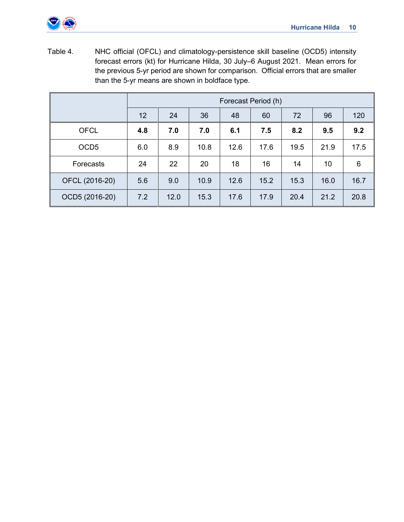

Table 4. NHC official (OFCL) and climatology-persistence skill baseline (OCD5) intensity forecast errors (kt) for Hurricane Hilda, 30 July–6 August 2021. Mean errors for the previous 5-yr period are shown for comparison. Official errors that are smaller than the 5-yr means are shown in boldface type.

|                  | Forecast Period (h) |      |      |      |      |      |      |      |  |
|------------------|---------------------|------|------|------|------|------|------|------|--|
|                  | 12                  | 24   | 36   | 48   | 60   | 72   | 96   | 120  |  |
| <b>OFCL</b>      | 4.8                 | 7.0  | 7.0  | 6.1  | 7.5  | 8.2  | 9.5  | 9.2  |  |
| OCD <sub>5</sub> | 6.0                 | 8.9  | 10.8 | 12.6 | 17.6 | 19.5 | 21.9 | 17.5 |  |
| Forecasts        | 24                  | 22   | 20   | 18   | 16   | 14   | 10   | 6    |  |
| OFCL (2016-20)   | 5.6                 | 9.0  | 10.9 | 12.6 | 15.2 | 15.3 | 16.0 | 16.7 |  |
| OCD5 (2016-20)   | 7.2                 | 12.0 | 15.3 | 17.6 | 17.9 | 20.4 | 21.2 | 20.8 |  |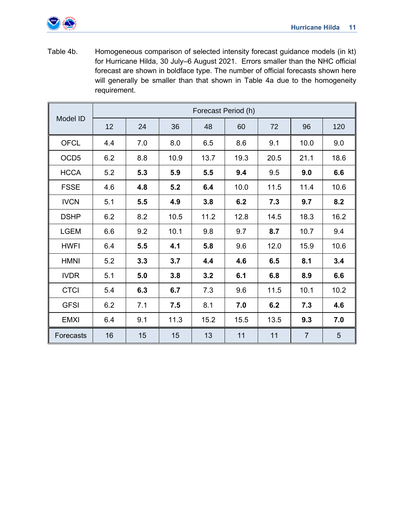

Table 4b. Homogeneous comparison of selected intensity forecast guidance models (in kt) for Hurricane Hilda, 30 July–6 August 2021. Errors smaller than the NHC official forecast are shown in boldface type. The number of official forecasts shown here will generally be smaller than that shown in Table 4a due to the homogeneity requirement.

|                  | Forecast Period (h) |     |      |      |      |      |                |      |  |  |  |
|------------------|---------------------|-----|------|------|------|------|----------------|------|--|--|--|
| Model ID         | 12                  | 24  | 36   | 48   | 60   | 72   | 96             | 120  |  |  |  |
| <b>OFCL</b>      | 4.4                 | 7.0 | 8.0  | 6.5  | 8.6  | 9.1  | 10.0           | 9.0  |  |  |  |
| OCD <sub>5</sub> | 6.2                 | 8.8 | 10.9 | 13.7 | 19.3 | 20.5 | 21.1           | 18.6 |  |  |  |
| <b>HCCA</b>      | 5.2                 | 5.3 | 5.9  | 5.5  | 9.4  | 9.5  | 9.0            | 6.6  |  |  |  |
| <b>FSSE</b>      | 4.6                 | 4.8 | 5.2  | 6.4  | 10.0 | 11.5 | 11.4           | 10.6 |  |  |  |
| <b>IVCN</b>      | 5.1                 | 5.5 | 4.9  | 3.8  | 6.2  | 7.3  | 9.7            | 8.2  |  |  |  |
| <b>DSHP</b>      | 6.2                 | 8.2 | 10.5 | 11.2 | 12.8 | 14.5 | 18.3           | 16.2 |  |  |  |
| <b>LGEM</b>      | 6.6                 | 9.2 | 10.1 | 9.8  | 9.7  | 8.7  | 10.7           | 9.4  |  |  |  |
| <b>HWFI</b>      | 6.4                 | 5.5 | 4.1  | 5.8  | 9.6  | 12.0 | 15.9           | 10.6 |  |  |  |
| <b>HMNI</b>      | 5.2                 | 3.3 | 3.7  | 4.4  | 4.6  | 6.5  | 8.1            | 3.4  |  |  |  |
| <b>IVDR</b>      | 5.1                 | 5.0 | 3.8  | 3.2  | 6.1  | 6.8  | 8.9            | 6.6  |  |  |  |
| <b>CTCI</b>      | 5.4                 | 6.3 | 6.7  | 7.3  | 9.6  | 11.5 | 10.1           | 10.2 |  |  |  |
| <b>GFSI</b>      | 6.2                 | 7.1 | 7.5  | 8.1  | 7.0  | 6.2  | 7.3            | 4.6  |  |  |  |
| <b>EMXI</b>      | 6.4                 | 9.1 | 11.3 | 15.2 | 15.5 | 13.5 | 9.3            | 7.0  |  |  |  |
| Forecasts        | 16                  | 15  | 15   | 13   | 11   | 11   | $\overline{7}$ | 5    |  |  |  |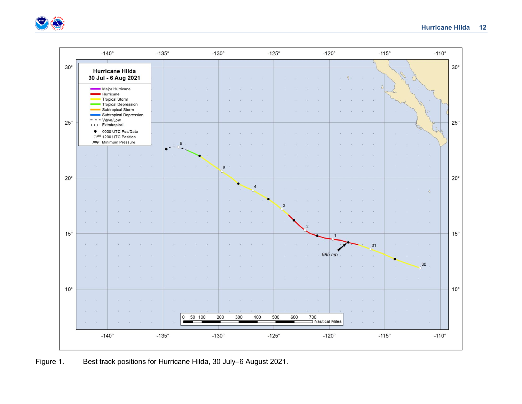



Figure 1. Best track positions for Hurricane Hilda, 30 July–6 August 2021.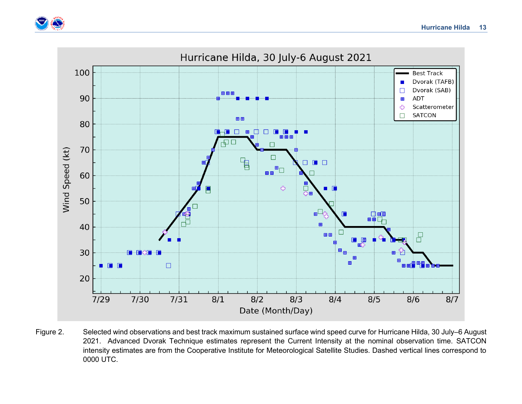



Figure 2. Selected wind observations and best track maximum sustained surface wind speed curve for Hurricane Hilda, 30 July–6 August 2021. Advanced Dvorak Technique estimates represent the Current Intensity at the nominal observation time. SATCON intensity estimates are from the Cooperative Institute for Meteorological Satellite Studies. Dashed vertical lines correspond to 0000 UTC.